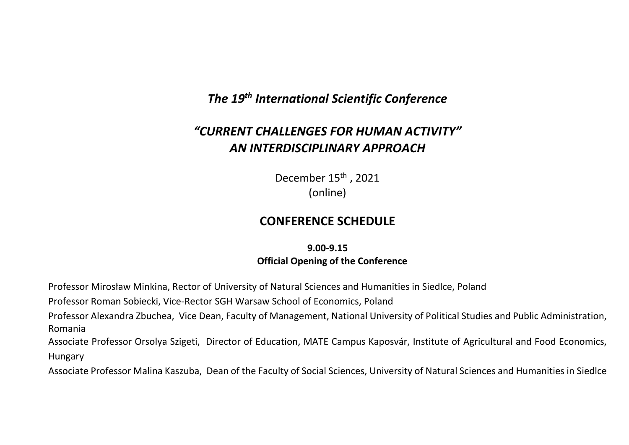# *The 19th International Scientific Conference*

# *"CURRENT CHALLENGES FOR HUMAN ACTIVITY" AN INTERDISCIPLINARY APPROACH*

December 15<sup>th</sup> . 2021 (online)

### **CONFERENCE SCHEDULE**

**9.00-9.15 Official Opening of the Conference**

Professor Mirosław Minkina, Rector of University of Natural Sciences and Humanities in Siedlce, Poland

Professor Roman Sobiecki, Vice-Rector SGH Warsaw School of Economics, Poland

Professor Alexandra Zbuchea, Vice Dean, Faculty of Management, National University of Political Studies and Public Administration, Romania

Associate Professor Orsolya Szigeti, Director of Education, MATE Campus Kaposvár, Institute of Agricultural and Food Economics, Hungary

Associate Professor Malina Kaszuba, Dean of the Faculty of Social Sciences, University of Natural Sciences and Humanities in Siedlce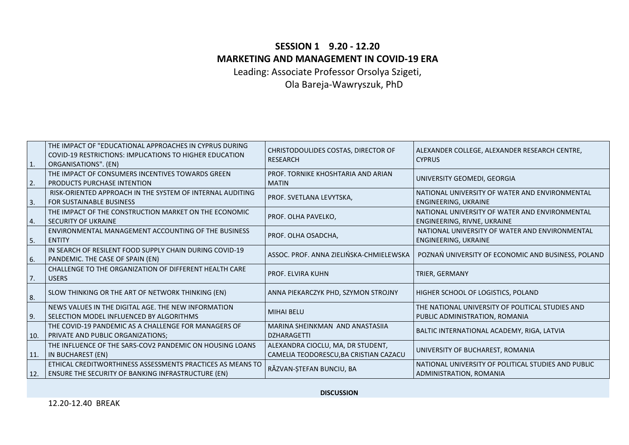## **SESSION 1 9.20 - 12.20 MARKETING AND MANAGEMENT IN COVID-19 ERA**

Leading: Associate Professor Orsolya Szigeti, Ola Bareja-Wawryszuk, PhD

| $\mathbf{1}$ . | THE IMPACT OF "EDUCATIONAL APPROACHES IN CYPRUS DURING<br><b>COVID-19 RESTRICTIONS: IMPLICATIONS TO HIGHER EDUCATION</b><br>ORGANISATIONS". (EN) | CHRISTODOULIDES COSTAS, DIRECTOR OF<br><b>RESEARCH</b>                      | ALEXANDER COLLEGE, ALEXANDER RESEARCH CENTRE,<br><b>CYPRUS</b>                     |
|----------------|--------------------------------------------------------------------------------------------------------------------------------------------------|-----------------------------------------------------------------------------|------------------------------------------------------------------------------------|
| 2.             | THE IMPACT OF CONSUMERS INCENTIVES TOWARDS GREEN<br><b>PRODUCTS PURCHASE INTENTION</b>                                                           | PROF. TORNIKE KHOSHTARIA AND ARIAN<br><b>MATIN</b>                          | UNIVERSITY GEOMEDI, GEORGIA                                                        |
| $\mathbf{3}$   | RISK-ORIENTED APPROACH IN THE SYSTEM OF INTERNAL AUDITING<br><b>FOR SUSTAINABLE BUSINESS</b>                                                     | PROF. SVETLANA LEVYTSKA,                                                    | NATIONAL UNIVERSITY OF WATER AND ENVIRONMENTAL<br>ENGINEERING, UKRAINE             |
| 4.             | THE IMPACT OF THE CONSTRUCTION MARKET ON THE ECONOMIC<br><b>SECURITY OF UKRAINE</b>                                                              | PROF. OLHA PAVELKO,                                                         | NATIONAL UNIVERSITY OF WATER AND ENVIRONMENTAL<br>ENGINEERING, RIVNE, UKRAINE      |
| 5.             | ENVIRONMENTAL MANAGEMENT ACCOUNTING OF THE BUSINESS<br><b>ENTITY</b>                                                                             | PROF. OLHA OSADCHA,                                                         | NATIONAL UNIVERSITY OF WATER AND ENVIRONMENTAL<br>ENGINEERING, UKRAINE             |
| 6.             | IN SEARCH OF RESILENT FOOD SUPPLY CHAIN DURING COVID-19<br>PANDEMIC. THE CASE OF SPAIN (EN)                                                      | ASSOC. PROF. ANNA ZIELIŃSKA-CHMIELEWSKA                                     | POZNAŃ UNIVERSITY OF ECONOMIC AND BUSINESS, POLAND                                 |
| 7.             | CHALLENGE TO THE ORGANIZATION OF DIFFERENT HEALTH CARE<br><b>USERS</b>                                                                           | <b>PROF. ELVIRA KUHN</b>                                                    | <b>TRIER, GERMANY</b>                                                              |
| 8.             | SLOW THINKING OR THE ART OF NETWORK THINKING (EN)                                                                                                | ANNA PIEKARCZYK PHD, SZYMON STROJNY                                         | HIGHER SCHOOL OF LOGISTICS, POLAND                                                 |
| 9.             | NEWS VALUES IN THE DIGITAL AGE. THE NEW INFORMATION<br>l SELECTION MODEL INFLUENCED BY ALGORITHMS                                                | <b>MIHAI BELU</b>                                                           | THE NATIONAL UNIVERSITY OF POLITICAL STUDIES AND<br>PUBLIC ADMINISTRATION, ROMANIA |
| 10.            | THE COVID-19 PANDEMIC AS A CHALLENGE FOR MANAGERS OF<br>PRIVATE AND PUBLIC ORGANIZATIONS;                                                        | MARINA SHEINKMAN AND ANASTASIIA<br><b>DZHARAGETTI</b>                       | BALTIC INTERNATIONAL ACADEMY, RIGA, LATVIA                                         |
| 11.            | THE INFLUENCE OF THE SARS-COV2 PANDEMIC ON HOUSING LOANS<br>IN BUCHAREST (EN)                                                                    | ALEXANDRA CIOCLU, MA, DR STUDENT,<br>CAMELIA TEODORESCU, BA CRISTIAN CAZACU | UNIVERSITY OF BUCHAREST, ROMANIA                                                   |
| 12.            | ETHICAL CREDITWORTHINESS ASSESSMENTS PRACTICES AS MEANS TO<br><b>ENSURE THE SECURITY OF BANKING INFRASTRUCTURE (EN)</b>                          | RĂZVAN-ȘTEFAN BUNCIU, BA                                                    | NATIONAL UNIVERSITY OF POLITICAL STUDIES AND PUBLIC<br>ADMINISTRATION, ROMANIA     |

**DISCUSSION**

12.20-12.40 BREAK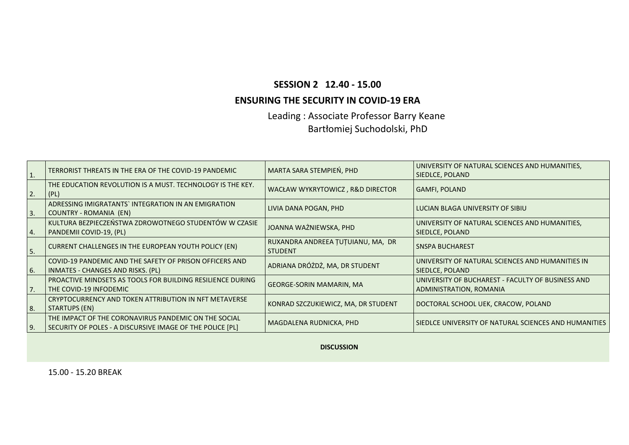#### **SESSION 2 12.40 - 15.00**

#### **ENSURING THE SECURITY IN COVID-19 ERA**

Leading : Associate Professor Barry Keane Bartłomiej Suchodolski, PhD

| $\mathbf{1}$ . | TERRORIST THREATS IN THE ERA OF THE COVID-19 PANDEMIC                                                               | MARTA SARA STEMPIEN, PHD                            | UNIVERSITY OF NATURAL SCIENCES AND HUMANITIES,<br>SIEDLCE, POLAND            |
|----------------|---------------------------------------------------------------------------------------------------------------------|-----------------------------------------------------|------------------------------------------------------------------------------|
| 2.             | THE EDUCATION REVOLUTION IS A MUST. TECHNOLOGY IS THE KEY.<br> (PL)                                                 | WACŁAW WYKRYTOWICZ, R&D DIRECTOR                    | <b>GAMFI, POLAND</b>                                                         |
| 3.             | ADRESSING IMIGRATANTS` INTEGRATION IN AN EMIGRATION<br>COUNTRY - ROMANIA (EN)                                       | LIVIA DANA POGAN, PHD                               | LUCIAN BLAGA UNIVERSITY OF SIBIU                                             |
| 4.             | KULTURA BEZPIECZEŃSTWA ZDROWOTNEGO STUDENTÓW W CZASIE<br>  PANDEMII COVID-19, (PL)                                  | JOANNA WAŻNIEWSKA, PHD                              | UNIVERSITY OF NATURAL SCIENCES AND HUMANITIES,<br>SIEDLCE, POLAND            |
| 5.             | CURRENT CHALLENGES IN THE EUROPEAN YOUTH POLICY (EN)                                                                | RUXANDRA ANDREEA ȚUȚUIANU, MA, DR<br><b>STUDENT</b> | <b>SNSPA BUCHAREST</b>                                                       |
| 6.             | COVID-19 PANDEMIC AND THE SAFETY OF PRISON OFFICERS AND<br>  INMATES - CHANGES AND RISKS. (PL)                      | ADRIANA DRÓŻDŻ, MA, DR STUDENT                      | UNIVERSITY OF NATURAL SCIENCES AND HUMANITIES IN<br>SIEDLCE, POLAND          |
| 7.             | PROACTIVE MINDSETS AS TOOLS FOR BUILDING RESILIENCE DURING<br>THE COVID-19 INFODEMIC                                | <b>GEORGE-SORIN MAMARIN, MA</b>                     | UNIVERSITY OF BUCHAREST - FACULTY OF BUSINESS AND<br>ADMINISTRATION, ROMANIA |
| 8.             | CRYPTOCURRENCY AND TOKEN ATTRIBUTION IN NFT METAVERSE<br>  STARTUPS (EN)                                            | KONRAD SZCZUKIEWICZ, MA, DR STUDENT                 | DOCTORAL SCHOOL UEK, CRACOW, POLAND                                          |
| 9.             | THE IMPACT OF THE CORONAVIRUS PANDEMIC ON THE SOCIAL<br>  SECURITY OF POLES - A DISCURSIVE IMAGE OF THE POLICE [PL] | MAGDALENA RUDNICKA, PHD                             | SIEDLCE UNIVERSITY OF NATURAL SCIENCES AND HUMANITIES                        |

**DISCUSSION**

15.00 - 15.20 BREAK